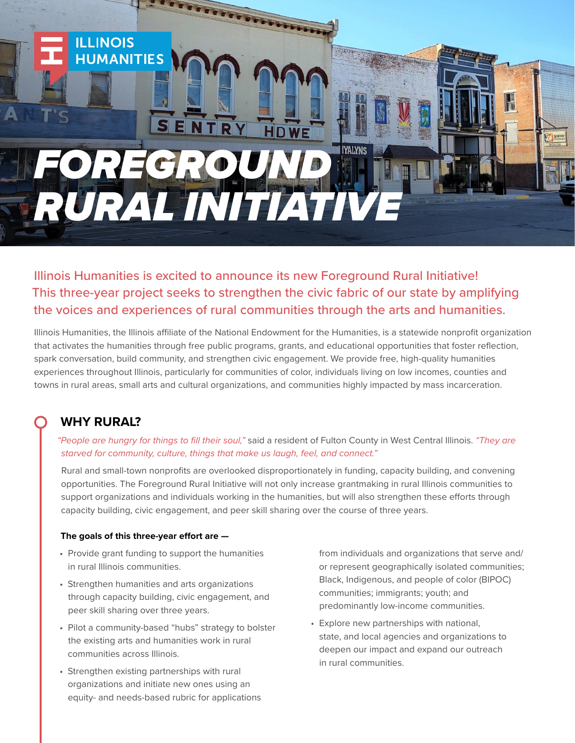

SENTRY

**TETERETERED PROPERTY** 

# Illinois Humanities is excited to announce its new Foreground Rural Initiative! This three-year project seeks to strengthen the civic fabric of our state by amplifying the voices and experiences of rural communities through the arts and humanities.

**HDWE** 

Illinois Humanities, the Illinois affiliate of the National Endowment for the Humanities, is a statewide nonprofit organization that activates the humanities through free public programs, grants, and educational opportunities that foster reflection, spark conversation, build community, and strengthen civic engagement. We provide free, high-quality humanities experiences throughout Illinois, particularly for communities of color, individuals living on low incomes, counties and towns in rural areas, small arts and cultural organizations, and communities highly impacted by mass incarceration.

## **WHY RURAL?**

**ILLINOIS** 

**HUMANITIES** 

*"People are hungry for things to fill their soul,"* said a resident of Fulton County in West Central Illinois. *"They are starved for community, culture, things that make us laugh, feel, and connect."*

Rural and small-town nonprofits are overlooked disproportionately in funding, capacity building, and convening opportunities. The Foreground Rural Initiative will not only increase grantmaking in rural Illinois communities to support organizations and individuals working in the humanities, but will also strengthen these efforts through capacity building, civic engagement, and peer skill sharing over the course of three years.

#### **The goals of this three-year effort are —**

- Provide grant funding to support the humanities in rural Illinois communities.
- Strengthen humanities and arts organizations through capacity building, civic engagement, and peer skill sharing over three years.
- Pilot a community-based "hubs" strategy to bolster the existing arts and humanities work in rural communities across Illinois.
- Strengthen existing partnerships with rural organizations and initiate new ones using an equity- and needs-based rubric for applications

from individuals and organizations that serve and/ or represent geographically isolated communities; Black, Indigenous, and people of color (BIPOC) communities; immigrants; youth; and predominantly low-income communities.

• Explore new partnerships with national, state, and local agencies and organizations to deepen our impact and expand our outreach in rural communities.